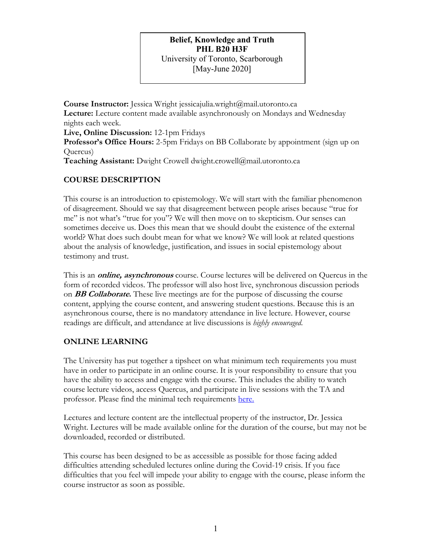## **Belief, Knowledge and Truth PHL B20 H3F** University of Toronto, Scarborough [May-June 2020]

**Course Instructor:** Jessica Wright jessicajulia.wright@mail.utoronto.ca **Lecture:** Lecture content made available asynchronously on Mondays and Wednesday nights each week. **Live, Online Discussion:** 12-1pm Fridays **Professor's Office Hours:** 2-5pm Fridays on BB Collaborate by appointment (sign up on Quercus) **Teaching Assistant:** Dwight Crowell dwight.crowell@mail.utoronto.ca

## **COURSE DESCRIPTION**

This course is an introduction to epistemology. We will start with the familiar phenomenon of disagreement. Should we say that disagreement between people arises because "true for me" is not what's "true for you"? We will then move on to skepticism. Our senses can sometimes deceive us. Does this mean that we should doubt the existence of the external world? What does such doubt mean for what we know? We will look at related questions about the analysis of knowledge, justification, and issues in social epistemology about testimony and trust.

This is an **online, asynchronous** course. Course lectures will be delivered on Quercus in the form of recorded videos. The professor will also host live, synchronous discussion periods on **BB Collaborate.** These live meetings are for the purpose of discussing the course content, applying the course content, and answering student questions. Because this is an asynchronous course, there is no mandatory attendance in live lecture. However, course readings are difficult, and attendance at live discussions is *highly encouraged*.

## **ONLINE LEARNING**

The University has put together a tipsheet on what minimum tech requirements you must have in order to participate in an online course. It is your responsibility to ensure that you have the ability to access and engage with the course. This includes the ability to watch course lecture videos, access Quercus, and participate in live sessions with the TA and professor. Please find the minimal tech requirements here.

Lectures and lecture content are the intellectual property of the instructor, Dr. Jessica Wright. Lectures will be made available online for the duration of the course, but may not be downloaded, recorded or distributed.

This course has been designed to be as accessible as possible for those facing added difficulties attending scheduled lectures online during the Covid-19 crisis. If you face difficulties that you feel will impede your ability to engage with the course, please inform the course instructor as soon as possible.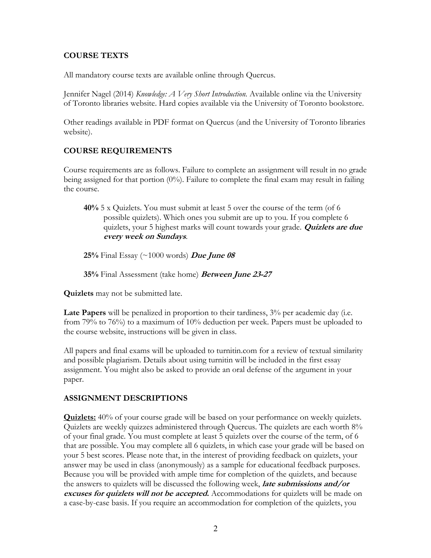## **COURSE TEXTS**

All mandatory course texts are available online through Quercus.

Jennifer Nagel (2014) *Knowledge: A Very Short Introduction.* Available online via the University of Toronto libraries website. Hard copies available via the University of Toronto bookstore.

Other readings available in PDF format on Quercus (and the University of Toronto libraries website).

## **COURSE REQUIREMENTS**

Course requirements are as follows. Failure to complete an assignment will result in no grade being assigned for that portion (0%). Failure to complete the final exam may result in failing the course.

**40%** 5 x Quizlets. You must submit at least 5 over the course of the term (of 6 possible quizlets). Which ones you submit are up to you. If you complete 6 quizlets, your 5 highest marks will count towards your grade. **Quizlets are due every week on Sundays**.

**25%** Final Essay (~1000 words) **Due June 08**

**35%** Final Assessment (take home) **Between June 23-27**

**Quizlets** may not be submitted late.

**Late Papers** will be penalized in proportion to their tardiness, 3% per academic day (i.e. from 79% to 76%) to a maximum of 10% deduction per week. Papers must be uploaded to the course website, instructions will be given in class.

All papers and final exams will be uploaded to turnitin.com for a review of textual similarity and possible plagiarism. Details about using turnitin will be included in the first essay assignment. You might also be asked to provide an oral defense of the argument in your paper.

### **ASSIGNMENT DESCRIPTIONS**

**Quizlets:** 40% of your course grade will be based on your performance on weekly quizlets. Quizlets are weekly quizzes administered through Quercus. The quizlets are each worth 8% of your final grade. You must complete at least 5 quizlets over the course of the term, of 6 that are possible. You may complete all 6 quizlets, in which case your grade will be based on your 5 best scores. Please note that, in the interest of providing feedback on quizlets, your answer may be used in class (anonymously) as a sample for educational feedback purposes. Because you will be provided with ample time for completion of the quizlets, and because the answers to quizlets will be discussed the following week, **late submissions and/or excuses for quizlets will not be accepted.** Accommodations for quizlets will be made on a case-by-case basis. If you require an accommodation for completion of the quizlets, you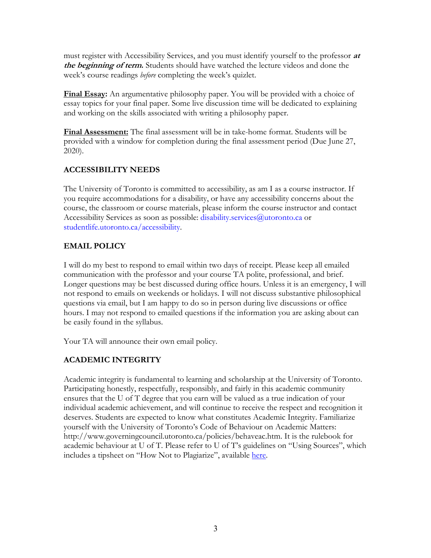must register with Accessibility Services, and you must identify yourself to the professor **at the beginning of term.** Students should have watched the lecture videos and done the week's course readings *before* completing the week's quizlet.

**Final Essay:** An argumentative philosophy paper. You will be provided with a choice of essay topics for your final paper. Some live discussion time will be dedicated to explaining and working on the skills associated with writing a philosophy paper.

**Final Assessment:** The final assessment will be in take-home format. Students will be provided with a window for completion during the final assessment period (Due June 27, 2020).

## **ACCESSIBILITY NEEDS**

The University of Toronto is committed to accessibility, as am I as a course instructor. If you require accommodations for a disability, or have any accessibility concerns about the course, the classroom or course materials, please inform the course instructor and contact Accessibility Services as soon as possible: disability.services@utoronto.ca or studentlife.utoronto.ca/accessibility.

## **EMAIL POLICY**

I will do my best to respond to email within two days of receipt. Please keep all emailed communication with the professor and your course TA polite, professional, and brief. Longer questions may be best discussed during office hours. Unless it is an emergency, I will not respond to emails on weekends or holidays. I will not discuss substantive philosophical questions via email, but I am happy to do so in person during live discussions or office hours. I may not respond to emailed questions if the information you are asking about can be easily found in the syllabus.

Your TA will announce their own email policy.

# **ACADEMIC INTEGRITY**

Academic integrity is fundamental to learning and scholarship at the University of Toronto. Participating honestly, respectfully, responsibly, and fairly in this academic community ensures that the U of T degree that you earn will be valued as a true indication of your individual academic achievement, and will continue to receive the respect and recognition it deserves. Students are expected to know what constitutes Academic Integrity. Familiarize yourself with the University of Toronto's Code of Behaviour on Academic Matters: http://www.governingcouncil.utoronto.ca/policies/behaveac.htm. It is the rulebook for academic behaviour at U of T. Please refer to U of T's guidelines on "Using Sources", which includes a tipsheet on "How Not to Plagiarize", available here.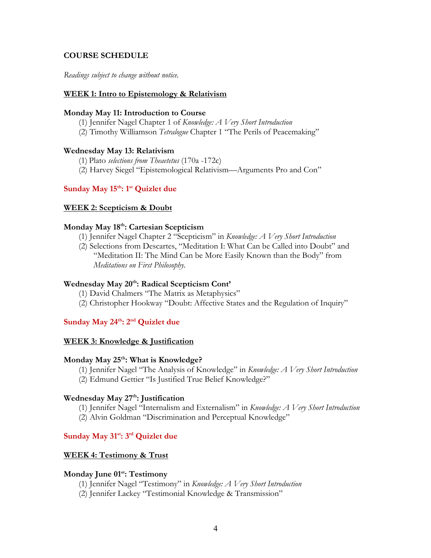#### **COURSE SCHEDULE**

*Readings subject to change without notice.*

#### **WEEK 1: Intro to Epistemology & Relativism**

#### **Monday May 11: Introduction to Course**

- (1) Jennifer Nagel Chapter 1 of *Knowledge: A Very Short Introduction*
- (2) Timothy Williamson *Tetralogue* Chapter 1 "The Perils of Peacemaking"

#### **Wednesday May 13: Relativism**

(1) Plato *selections from Theaetetus* (170a -172c)

(2) Harvey Siegel "Epistemological Relativism—Arguments Pro and Con"

## Sunday May 15<sup>th</sup>: 1<sup>st</sup> Quizlet due

#### **WEEK 2: Scepticism & Doubt**

### **Monday May 18th: Cartesian Scepticism**

- (1) Jennifer Nagel Chapter 2 "Scepticism" in *Knowledge: A Very Short Introduction*
- (2) Selections from Descartes, "Meditation I: What Can be Called into Doubt" and "Meditation II: The Mind Can be More Easily Known than the Body" from *Meditations on First Philosophy.*

### **Wednesday May 20th: Radical Scepticism Cont'**

- (1) David Chalmers "The Matrix as Metaphysics"
- (2) Christopher Hookway "Doubt: Affective States and the Regulation of Inquiry"

## Sunday May 24<sup>th</sup>: 2<sup>nd</sup> Quizlet due

#### **WEEK 3: Knowledge & Justification**

#### Monday May 25<sup>th</sup>: What is Knowledge?

(1) Jennifer Nagel "The Analysis of Knowledge" in *Knowledge: A Very Short Introduction* (2) Edmund Gettier "Is Justified True Belief Knowledge?"

### Wednesday May 27<sup>th</sup>: Justification

(1) Jennifer Nagel "Internalism and Externalism" in *Knowledge: A Very Short Introduction* (2) Alvin Goldman "Discrimination and Perceptual Knowledge"

## **Sunday May 31st: 3rd Quizlet due**

#### **WEEK 4: Testimony & Trust**

#### **Monday June 01st: Testimony**

- (1) Jennifer Nagel "Testimony" in *Knowledge: A Very Short Introduction*
- (2) Jennifer Lackey "Testimonial Knowledge & Transmission"